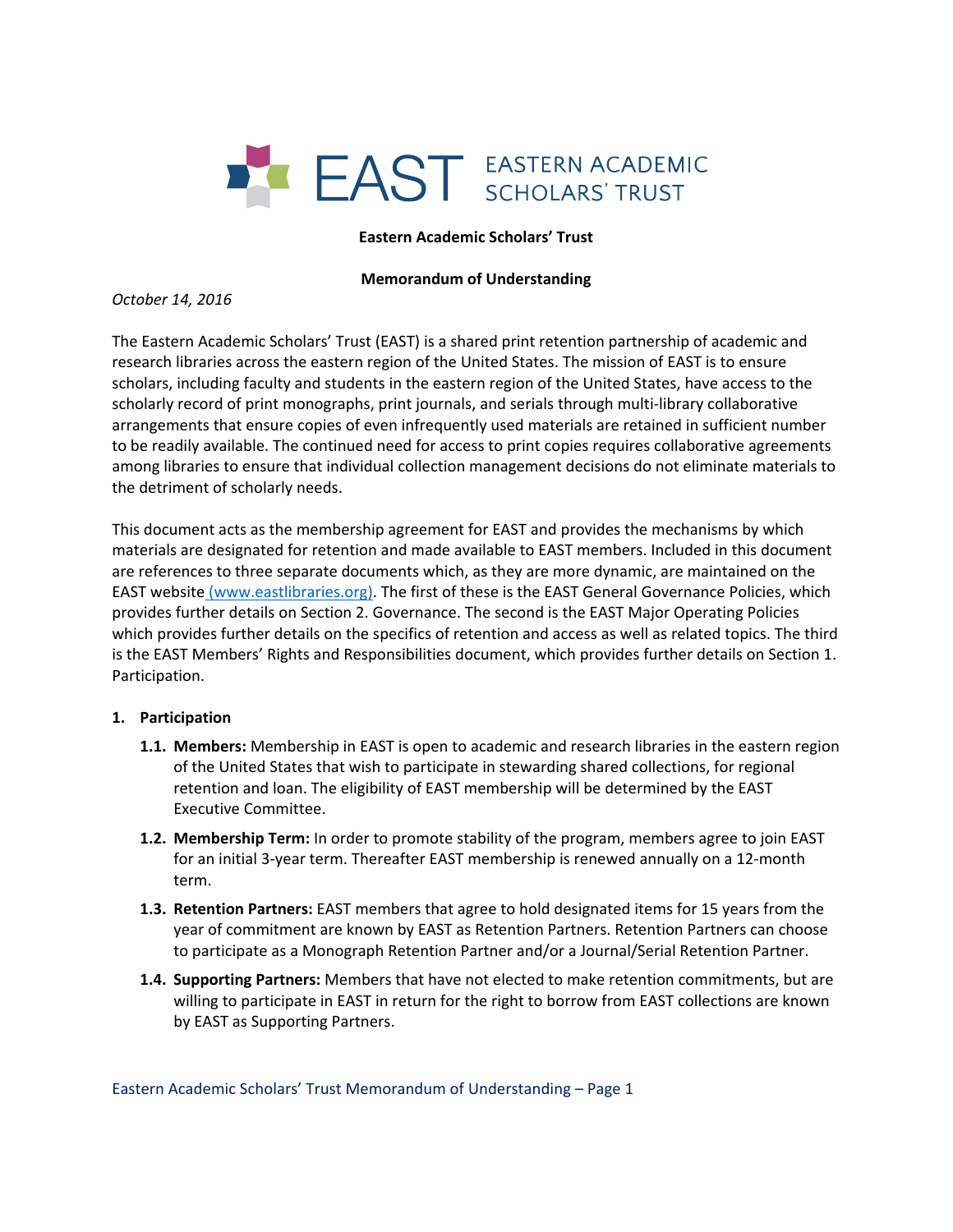

#### **Eastern Academic Scholars' Trust**

#### **Memorandum of Understanding**

*October 14, 2016*

The Eastern Academic Scholars' Trust (EAST) is a shared print retention partnership of academic and research libraries across the eastern region of the United States. The mission of EAST is to ensure scholars, including faculty and students in the eastern region of the United States, have access to the scholarly record of print monographs, print journals, and serials through multi‐library collaborative arrangements that ensure copies of even infrequently used materials are retained in sufficient number to be readily available. The continued need for access to print copies requires collaborative agreements among libraries to ensure that individual collection management decisions do not eliminate materials to the detriment of scholarly needs.

This document acts as the membership agreement for EAST and provides the mechanisms by which materials are designated for retention and made available to EAST members. Included in this document are references to three separate documents which, as they are more dynamic, are maintained on the EAST website (www.eastlibraries.org). The first of these is the EAST General Governance Policies, which provides further details on Section 2. Governance. The second is the EAST Major Operating Policies which provides further details on the specifics of retention and access as well as related topics. The third is the EAST Members' Rights and Responsibilities document, which provides further details on Section 1. Participation.

# **1. Participation**

- **1.1. Members:** Membership in EAST is open to academic and research libraries in the eastern region of the United States that wish to participate in stewarding shared collections, for regional retention and loan. The eligibility of EAST membership will be determined by the EAST Executive Committee.
- **1.2. Membership Term:** In order to promote stability of the program, members agree to join EAST for an initial 3‐year term. Thereafter EAST membership is renewed annually on a 12‐month term.
- **1.3. Retention Partners:** EAST members that agree to hold designated items for 15 years from the year of commitment are known by EAST as Retention Partners. Retention Partners can choose to participate as a Monograph Retention Partner and/or a Journal/Serial Retention Partner.
- **1.4. Supporting Partners:** Members that have not elected to make retention commitments, but are willing to participate in EAST in return for the right to borrow from EAST collections are known by EAST as Supporting Partners.

Eastern Academic Scholars' Trust Memorandum of Understanding – Page 1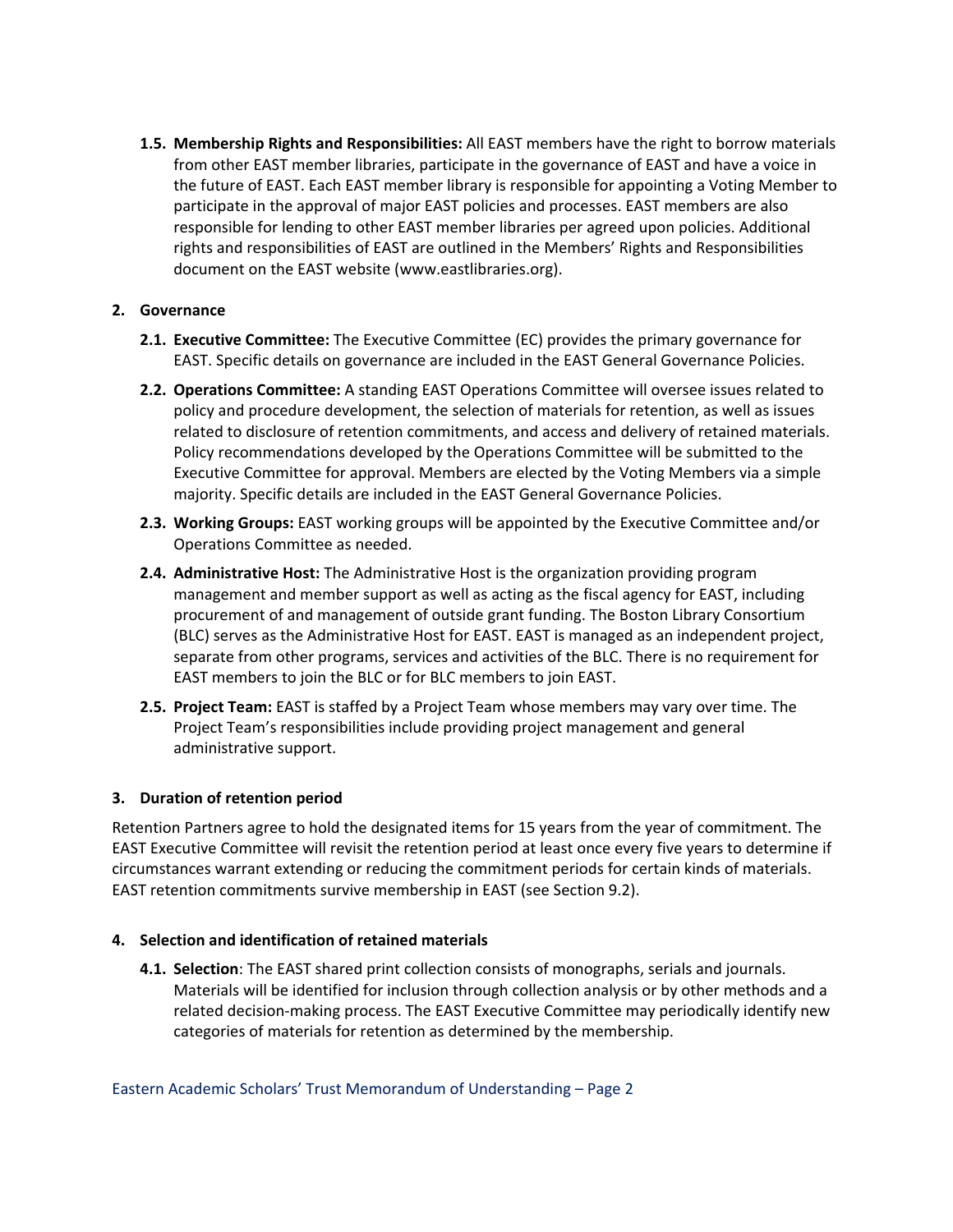**1.5. Membership Rights and Responsibilities:** All EAST members have the right to borrow materials from other EAST member libraries, participate in the governance of EAST and have a voice in the future of EAST. Each EAST member library is responsible for appointing a Voting Member to participate in the approval of major EAST policies and processes. EAST members are also responsible for lending to other EAST member libraries per agreed upon policies. Additional rights and responsibilities of EAST are outlined in the Members' Rights and Responsibilities document on the EAST website (www.eastlibraries.org).

# **2. Governance**

- **2.1. Executive Committee:** The Executive Committee (EC) provides the primary governance for EAST. Specific details on governance are included in the EAST General Governance Policies.
- **2.2. Operations Committee:** A standing EAST Operations Committee will oversee issues related to policy and procedure development, the selection of materials for retention, as well as issues related to disclosure of retention commitments, and access and delivery of retained materials. Policy recommendations developed by the Operations Committee will be submitted to the Executive Committee for approval. Members are elected by the Voting Members via a simple majority. Specific details are included in the EAST General Governance Policies.
- **2.3. Working Groups:** EAST working groups will be appointed by the Executive Committee and/or Operations Committee as needed.
- **2.4. Administrative Host:** The Administrative Host is the organization providing program management and member support as well as acting as the fiscal agency for EAST, including procurement of and management of outside grant funding. The Boston Library Consortium (BLC) serves as the Administrative Host for EAST. EAST is managed as an independent project, separate from other programs, services and activities of the BLC. There is no requirement for EAST members to join the BLC or for BLC members to join EAST.
- **2.5. Project Team:** EAST is staffed by a Project Team whose members may vary over time. The Project Team's responsibilities include providing project management and general administrative support.

# **3. Duration of retention period**

Retention Partners agree to hold the designated items for 15 years from the year of commitment. The EAST Executive Committee will revisit the retention period at least once every five years to determine if circumstances warrant extending or reducing the commitment periods for certain kinds of materials. EAST retention commitments survive membership in EAST (see Section 9.2).

# **4. Selection and identification of retained materials**

**4.1. Selection**: The EAST shared print collection consists of monographs, serials and journals. Materials will be identified for inclusion through collection analysis or by other methods and a related decision-making process. The EAST Executive Committee may periodically identify new categories of materials for retention as determined by the membership.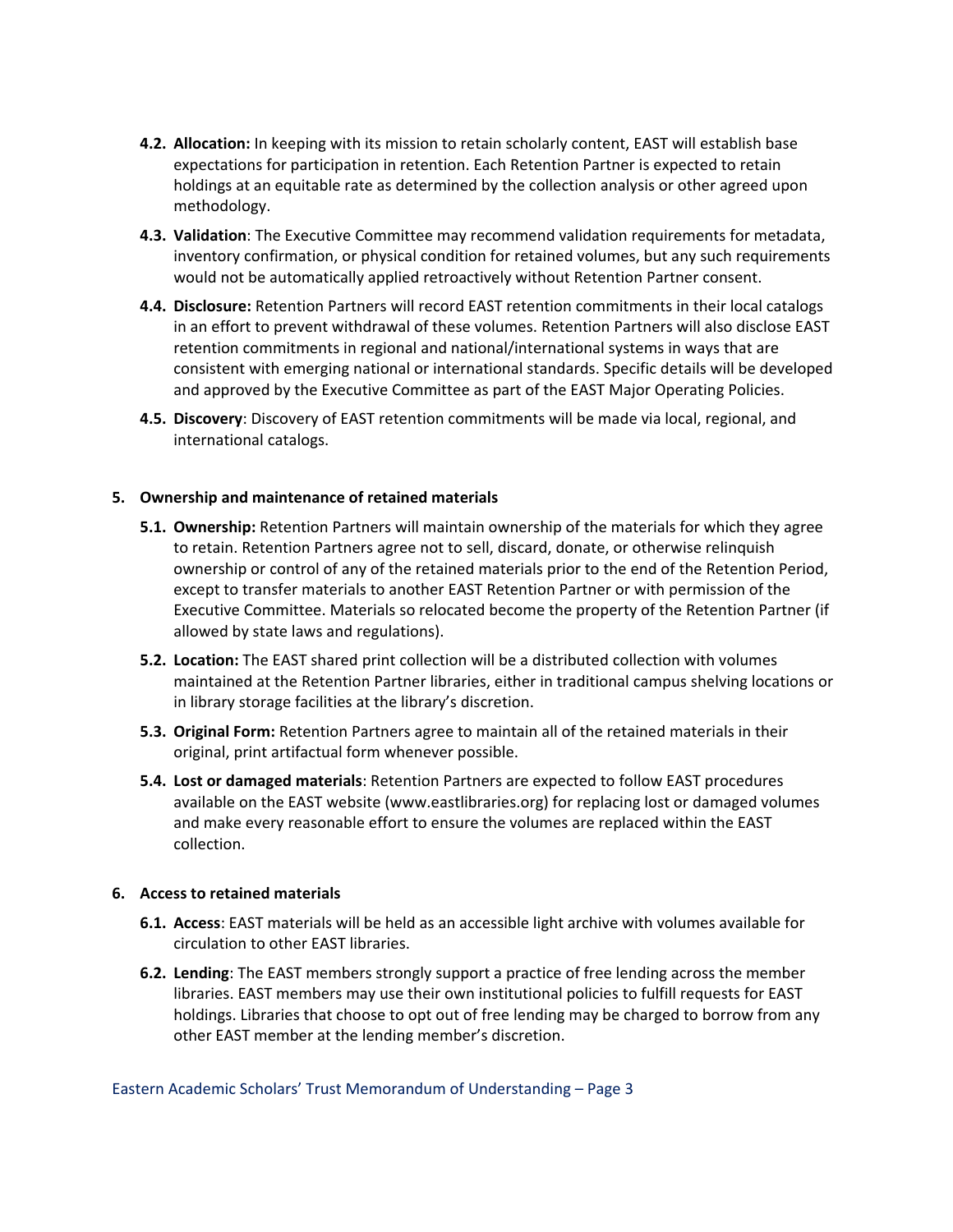- **4.2. Allocation:** In keeping with its mission to retain scholarly content, EAST will establish base expectations for participation in retention. Each Retention Partner is expected to retain holdings at an equitable rate as determined by the collection analysis or other agreed upon methodology.
- **4.3. Validation**: The Executive Committee may recommend validation requirements for metadata, inventory confirmation, or physical condition for retained volumes, but any such requirements would not be automatically applied retroactively without Retention Partner consent.
- **4.4. Disclosure:** Retention Partners will record EAST retention commitments in their local catalogs in an effort to prevent withdrawal of these volumes. Retention Partners will also disclose EAST retention commitments in regional and national/international systems in ways that are consistent with emerging national or international standards. Specific details will be developed and approved by the Executive Committee as part of the EAST Major Operating Policies.
- **4.5. Discovery**: Discovery of EAST retention commitments will be made via local, regional, and international catalogs.

## **5. Ownership and maintenance of retained materials**

- **5.1. Ownership:** Retention Partners will maintain ownership of the materials for which they agree to retain. Retention Partners agree not to sell, discard, donate, or otherwise relinquish ownership or control of any of the retained materials prior to the end of the Retention Period, except to transfer materials to another EAST Retention Partner or with permission of the Executive Committee. Materials so relocated become the property of the Retention Partner (if allowed by state laws and regulations).
- **5.2. Location:** The EAST shared print collection will be a distributed collection with volumes maintained at the Retention Partner libraries, either in traditional campus shelving locations or in library storage facilities at the library's discretion.
- **5.3. Original Form:** Retention Partners agree to maintain all of the retained materials in their original, print artifactual form whenever possible.
- **5.4. Lost or damaged materials**: Retention Partners are expected to follow EAST procedures available on the EAST website (www.eastlibraries.org) for replacing lost or damaged volumes and make every reasonable effort to ensure the volumes are replaced within the EAST collection.

#### **6. Access to retained materials**

- **6.1. Access**: EAST materials will be held as an accessible light archive with volumes available for circulation to other EAST libraries.
- **6.2. Lending**: The EAST members strongly support a practice of free lending across the member libraries. EAST members may use their own institutional policies to fulfill requests for EAST holdings. Libraries that choose to opt out of free lending may be charged to borrow from any other EAST member at the lending member's discretion.

Eastern Academic Scholars' Trust Memorandum of Understanding – Page 3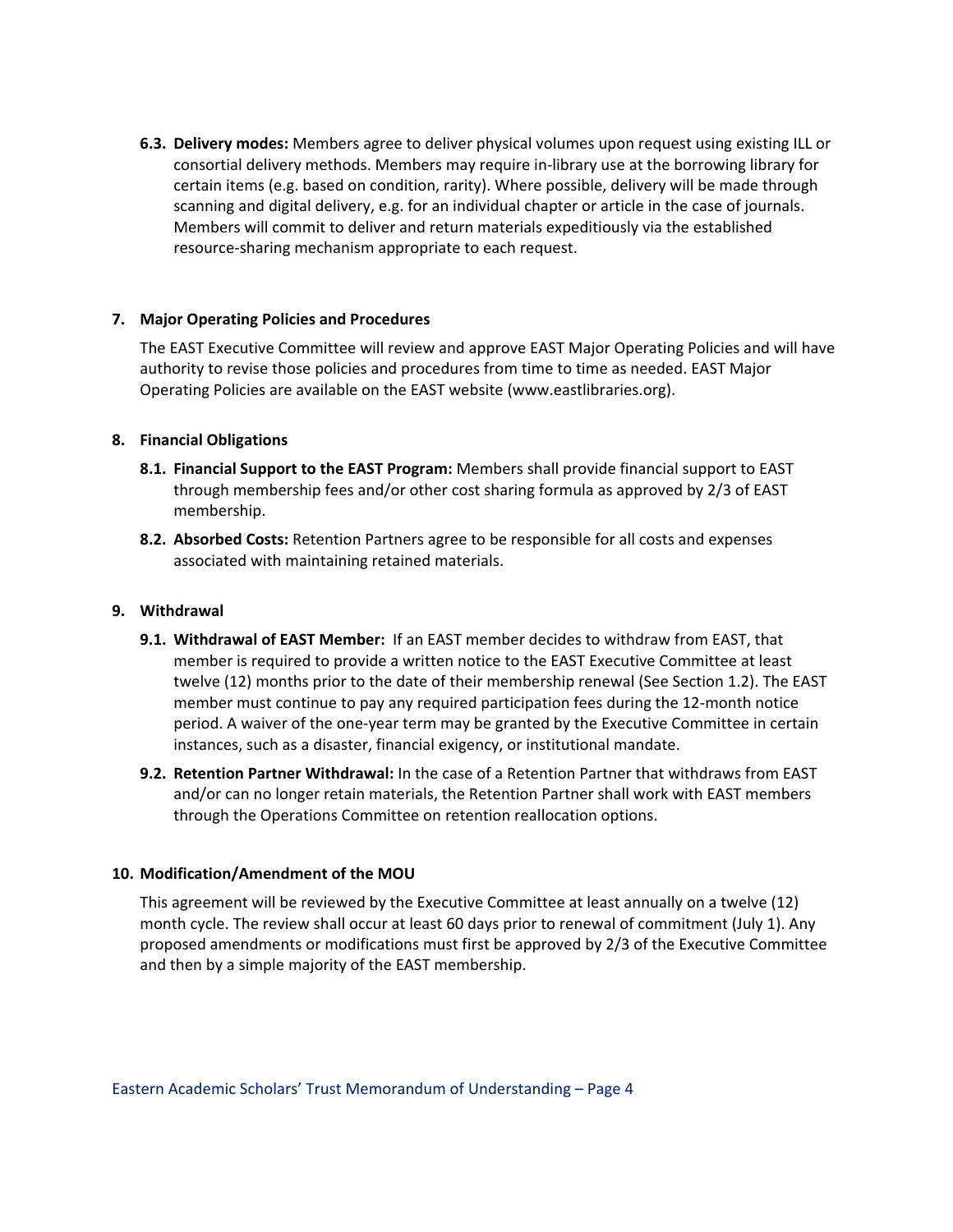**6.3. Delivery modes:** Members agree to deliver physical volumes upon request using existing ILL or consortial delivery methods. Members may require in‐library use at the borrowing library for certain items (e.g. based on condition, rarity). Where possible, delivery will be made through scanning and digital delivery, e.g. for an individual chapter or article in the case of journals. Members will commit to deliver and return materials expeditiously via the established resource‐sharing mechanism appropriate to each request.

## **7. Major Operating Policies and Procedures**

The EAST Executive Committee will review and approve EAST Major Operating Policies and will have authority to revise those policies and procedures from time to time as needed. EAST Major Operating Policies are available on the EAST website (www.eastlibraries.org).

#### **8. Financial Obligations**

- **8.1. Financial Support to the EAST Program:** Members shall provide financial support to EAST through membership fees and/or other cost sharing formula as approved by 2/3 of EAST membership.
- **8.2. Absorbed Costs:** Retention Partners agree to be responsible for all costs and expenses associated with maintaining retained materials.

## **9. Withdrawal**

- **9.1. Withdrawal of EAST Member:** If an EAST member decides to withdraw from EAST, that member is required to provide a written notice to the EAST Executive Committee at least twelve (12) months prior to the date of their membership renewal (See Section 1.2). The EAST member must continue to pay any required participation fees during the 12‐month notice period. A waiver of the one‐year term may be granted by the Executive Committee in certain instances, such as a disaster, financial exigency, or institutional mandate.
- **9.2. Retention Partner Withdrawal:** In the case of a Retention Partner that withdraws from EAST and/or can no longer retain materials, the Retention Partner shall work with EAST members through the Operations Committee on retention reallocation options.

#### **10. Modification/Amendment of the MOU**

This agreement will be reviewed by the Executive Committee at least annually on a twelve (12) month cycle. The review shall occur at least 60 days prior to renewal of commitment (July 1). Any proposed amendments or modifications must first be approved by 2/3 of the Executive Committee and then by a simple majority of the EAST membership.